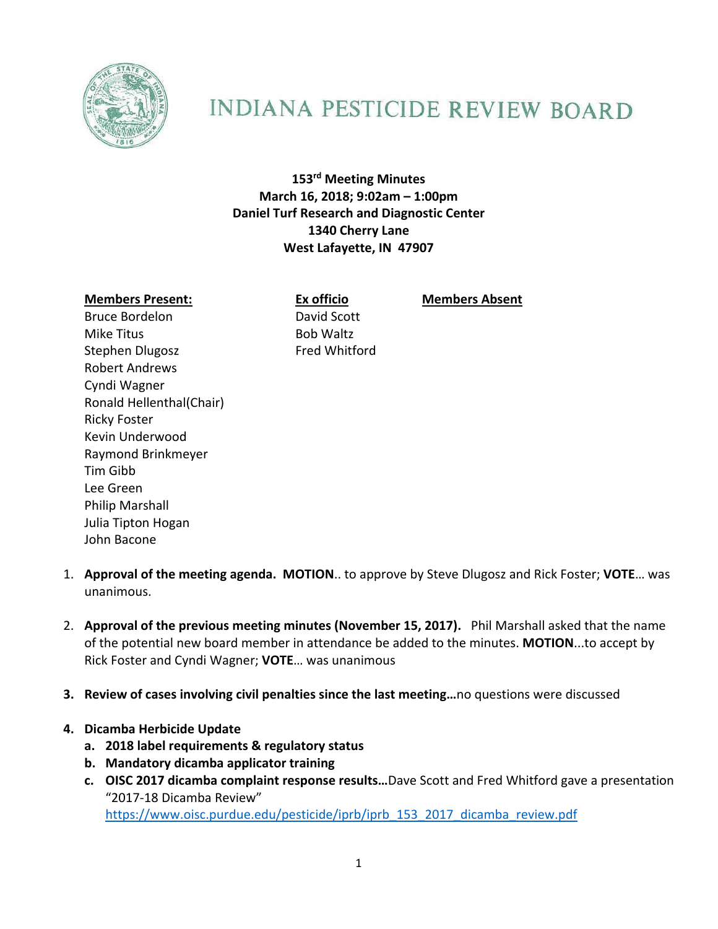

## **INDIANA PESTICIDE REVIEW BOARD**

**153rd Meeting Minutes March 16, 2018; 9:02am – 1:00pm Daniel Turf Research and Diagnostic Center 1340 Cherry Lane West Lafayette, IN 47907**

## **Members Present: Ex officio Members Absent**

Bruce Bordelon David Scott Mike Titus **Bob Waltz** Stephen Dlugosz **Fred Whitford** Robert Andrews Cyndi Wagner Ronald Hellenthal(Chair) Ricky Foster Kevin Underwood Raymond Brinkmeyer Tim Gibb Lee Green Philip Marshall

- Julia Tipton Hogan John Bacone 1. **Approval of the meeting agenda. MOTION**.. to approve by Steve Dlugosz and Rick Foster; **VOTE**… was
- 2. **Approval of the previous meeting minutes (November 15, 2017).** Phil Marshall asked that the name of the potential new board member in attendance be added to the minutes. **MOTION**...to accept by Rick Foster and Cyndi Wagner; **VOTE**… was unanimous
- **3. Review of cases involving civil penalties since the last meeting…**no questions were discussed
- **4. Dicamba Herbicide Update**

unanimous.

- **a. 2018 label requirements & regulatory status**
- **b. Mandatory dicamba applicator training**
- **c. OISC 2017 dicamba complaint response results…**Dave Scott and Fred Whitford gave a presentation "2017‐18 Dicamba Review" https://www.oisc.purdue.edu/pesticide/iprb/iprb\_153\_2017\_dicamba\_review.pdf